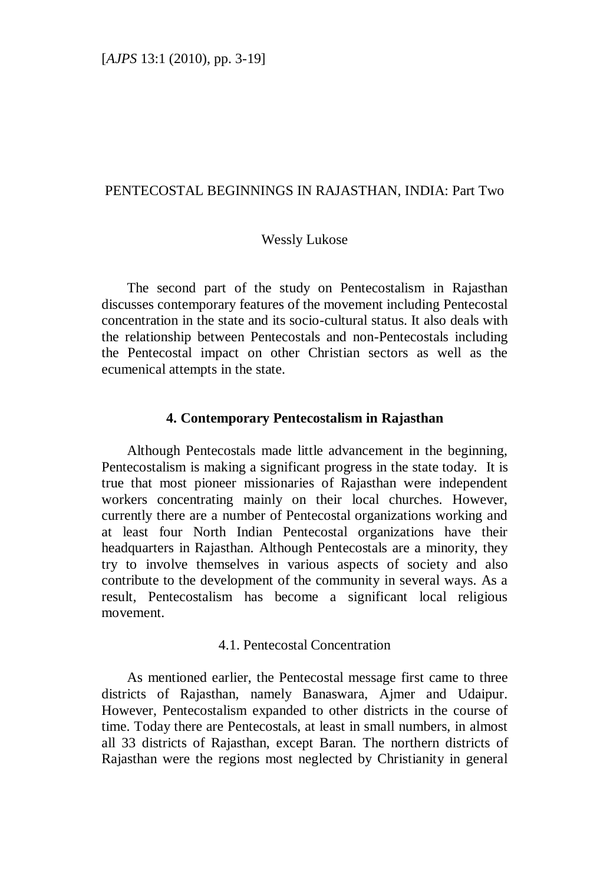# PENTECOSTAL BEGINNINGS IN RAJASTHAN, INDIA: Part Two

#### Wessly Lukose

The second part of the study on Pentecostalism in Rajasthan discusses contemporary features of the movement including Pentecostal concentration in the state and its socio-cultural status. It also deals with the relationship between Pentecostals and non-Pentecostals including the Pentecostal impact on other Christian sectors as well as the ecumenical attempts in the state.

## **4. Contemporary Pentecostalism in Rajasthan**

Although Pentecostals made little advancement in the beginning, Pentecostalism is making a significant progress in the state today. It is true that most pioneer missionaries of Rajasthan were independent workers concentrating mainly on their local churches. However, currently there are a number of Pentecostal organizations working and at least four North Indian Pentecostal organizations have their headquarters in Rajasthan. Although Pentecostals are a minority, they try to involve themselves in various aspects of society and also contribute to the development of the community in several ways. As a result, Pentecostalism has become a significant local religious movement.

## 4.1. Pentecostal Concentration

As mentioned earlier, the Pentecostal message first came to three districts of Rajasthan, namely Banaswara, Ajmer and Udaipur. However, Pentecostalism expanded to other districts in the course of time. Today there are Pentecostals, at least in small numbers, in almost all 33 districts of Rajasthan, except Baran. The northern districts of Rajasthan were the regions most neglected by Christianity in general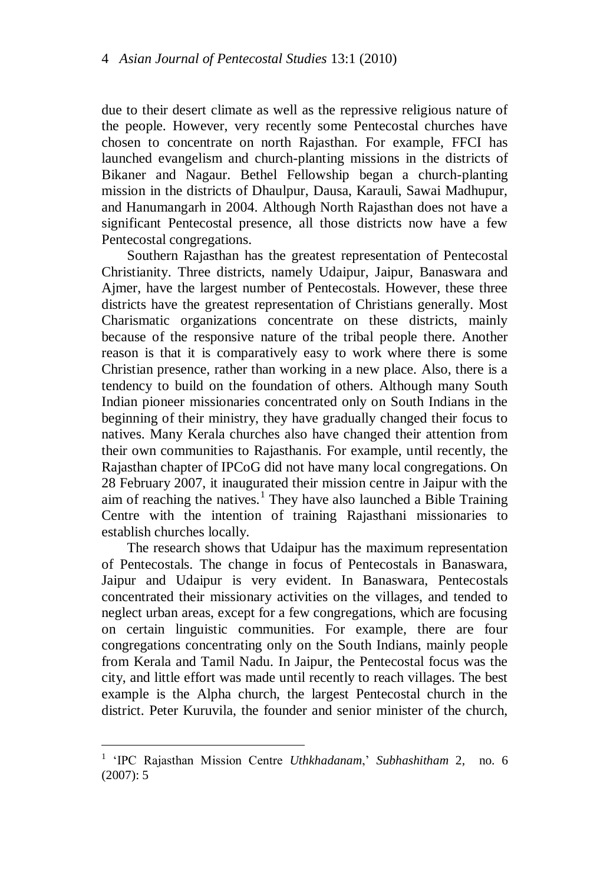due to their desert climate as well as the repressive religious nature of the people. However, very recently some Pentecostal churches have chosen to concentrate on north Rajasthan. For example, FFCI has launched evangelism and church-planting missions in the districts of Bikaner and Nagaur. Bethel Fellowship began a church-planting mission in the districts of Dhaulpur, Dausa, Karauli, Sawai Madhupur, and Hanumangarh in 2004. Although North Rajasthan does not have a significant Pentecostal presence, all those districts now have a few Pentecostal congregations.

Southern Rajasthan has the greatest representation of Pentecostal Christianity. Three districts, namely Udaipur, Jaipur, Banaswara and Ajmer, have the largest number of Pentecostals. However, these three districts have the greatest representation of Christians generally. Most Charismatic organizations concentrate on these districts, mainly because of the responsive nature of the tribal people there. Another reason is that it is comparatively easy to work where there is some Christian presence, rather than working in a new place. Also, there is a tendency to build on the foundation of others. Although many South Indian pioneer missionaries concentrated only on South Indians in the beginning of their ministry, they have gradually changed their focus to natives. Many Kerala churches also have changed their attention from their own communities to Rajasthanis. For example, until recently, the Rajasthan chapter of IPCoG did not have many local congregations. On 28 February 2007, it inaugurated their mission centre in Jaipur with the aim of reaching the natives.<sup>1</sup> They have also launched a Bible Training Centre with the intention of training Rajasthani missionaries to establish churches locally.

The research shows that Udaipur has the maximum representation of Pentecostals. The change in focus of Pentecostals in Banaswara, Jaipur and Udaipur is very evident. In Banaswara, Pentecostals concentrated their missionary activities on the villages, and tended to neglect urban areas, except for a few congregations, which are focusing on certain linguistic communities. For example, there are four congregations concentrating only on the South Indians, mainly people from Kerala and Tamil Nadu. In Jaipur, the Pentecostal focus was the city, and little effort was made until recently to reach villages. The best example is the Alpha church, the largest Pentecostal church in the district. Peter Kuruvila, the founder and senior minister of the church,

<sup>&</sup>lt;sup>1</sup> 'IPC Rajasthan Mission Centre *Uthkhadanam*,' *Subhashitham* 2, no. 6 (2007): 5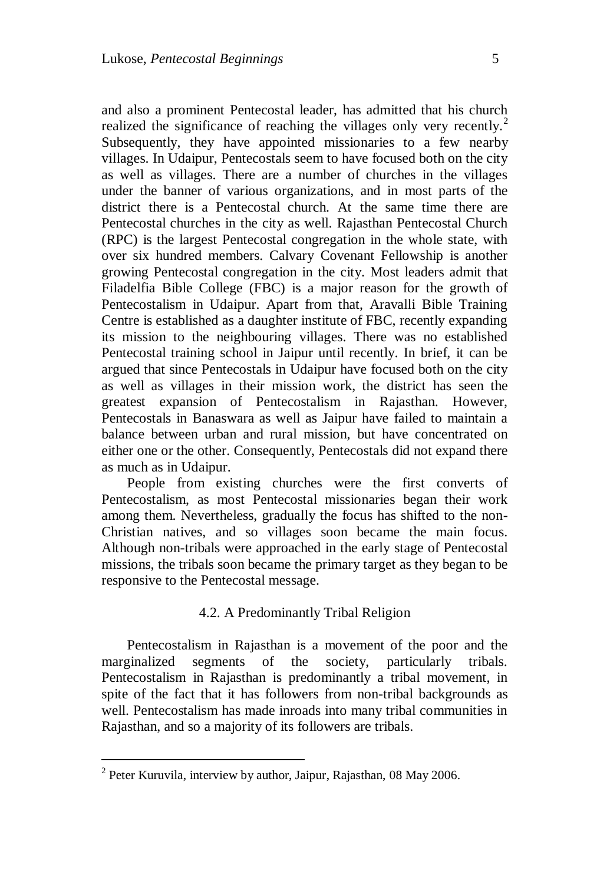and also a prominent Pentecostal leader, has admitted that his church realized the significance of reaching the villages only very recently.<sup>2</sup> Subsequently, they have appointed missionaries to a few nearby villages. In Udaipur, Pentecostals seem to have focused both on the city as well as villages. There are a number of churches in the villages under the banner of various organizations, and in most parts of the district there is a Pentecostal church. At the same time there are Pentecostal churches in the city as well. Rajasthan Pentecostal Church (RPC) is the largest Pentecostal congregation in the whole state, with over six hundred members. Calvary Covenant Fellowship is another growing Pentecostal congregation in the city. Most leaders admit that Filadelfia Bible College (FBC) is a major reason for the growth of Pentecostalism in Udaipur. Apart from that, Aravalli Bible Training Centre is established as a daughter institute of FBC, recently expanding its mission to the neighbouring villages. There was no established Pentecostal training school in Jaipur until recently. In brief, it can be argued that since Pentecostals in Udaipur have focused both on the city as well as villages in their mission work, the district has seen the greatest expansion of Pentecostalism in Rajasthan. However, Pentecostals in Banaswara as well as Jaipur have failed to maintain a balance between urban and rural mission, but have concentrated on either one or the other. Consequently, Pentecostals did not expand there as much as in Udaipur.

People from existing churches were the first converts of Pentecostalism, as most Pentecostal missionaries began their work among them. Nevertheless, gradually the focus has shifted to the non-Christian natives, and so villages soon became the main focus. Although non-tribals were approached in the early stage of Pentecostal missions, the tribals soon became the primary target as they began to be responsive to the Pentecostal message.

# 4.2. A Predominantly Tribal Religion

Pentecostalism in Rajasthan is a movement of the poor and the marginalized segments of the society, particularly tribals. Pentecostalism in Rajasthan is predominantly a tribal movement, in spite of the fact that it has followers from non-tribal backgrounds as well. Pentecostalism has made inroads into many tribal communities in Rajasthan, and so a majority of its followers are tribals.

<sup>&</sup>lt;sup>2</sup> Peter Kuruvila, interview by author, Jaipur, Rajasthan, 08 May 2006.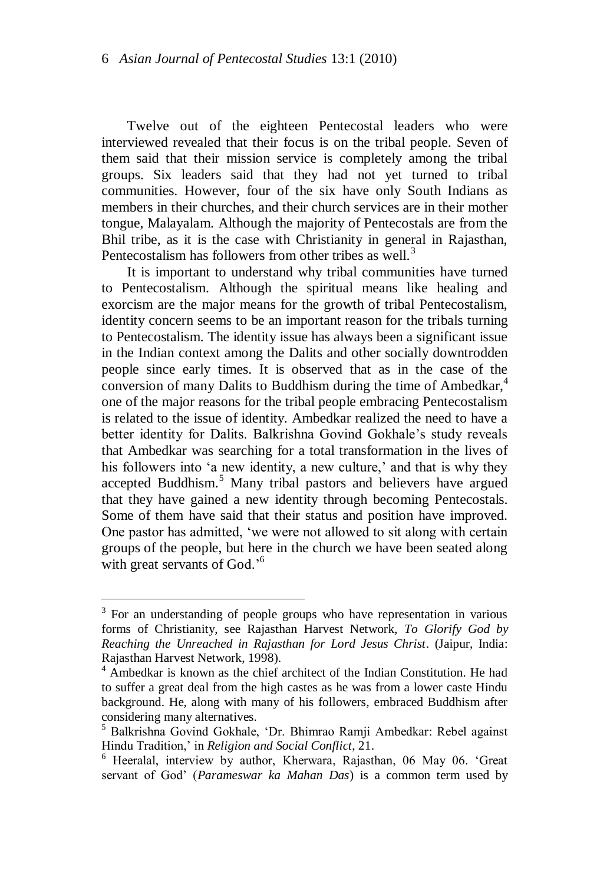Twelve out of the eighteen Pentecostal leaders who were interviewed revealed that their focus is on the tribal people. Seven of them said that their mission service is completely among the tribal groups. Six leaders said that they had not yet turned to tribal communities. However, four of the six have only South Indians as members in their churches, and their church services are in their mother tongue, Malayalam. Although the majority of Pentecostals are from the Bhil tribe, as it is the case with Christianity in general in Rajasthan, Pentecostalism has followers from other tribes as well.<sup>3</sup>

It is important to understand why tribal communities have turned to Pentecostalism. Although the spiritual means like healing and exorcism are the major means for the growth of tribal Pentecostalism, identity concern seems to be an important reason for the tribals turning to Pentecostalism. The identity issue has always been a significant issue in the Indian context among the Dalits and other socially downtrodden people since early times. It is observed that as in the case of the conversion of many Dalits to Buddhism during the time of Ambedkar, $4\overline{4}$ one of the major reasons for the tribal people embracing Pentecostalism is related to the issue of identity. Ambedkar realized the need to have a better identity for Dalits. Balkrishna Govind Gokhale"s study reveals that Ambedkar was searching for a total transformation in the lives of his followers into 'a new identity, a new culture,' and that is why they accepted Buddhism.<sup>5</sup> Many tribal pastors and believers have argued that they have gained a new identity through becoming Pentecostals. Some of them have said that their status and position have improved. One pastor has admitted, "we were not allowed to sit along with certain groups of the people, but here in the church we have been seated along with great servants of God.<sup>'6</sup>

<sup>&</sup>lt;sup>3</sup> For an understanding of people groups who have representation in various forms of Christianity, see Rajasthan Harvest Network, *To Glorify God by Reaching the Unreached in Rajasthan for Lord Jesus Christ*. (Jaipur, India: Rajasthan Harvest Network, 1998).

<sup>&</sup>lt;sup>4</sup> Ambedkar is known as the chief architect of the Indian Constitution. He had to suffer a great deal from the high castes as he was from a lower caste Hindu background. He, along with many of his followers, embraced Buddhism after considering many alternatives.

<sup>5</sup> Balkrishna Govind Gokhale, "Dr. Bhimrao Ramji Ambedkar: Rebel against Hindu Tradition," in *Religion and Social Conflict*, 21.

<sup>6</sup> Heeralal, interview by author, Kherwara, Rajasthan, 06 May 06. "Great servant of God" (*Parameswar ka Mahan Das*) is a common term used by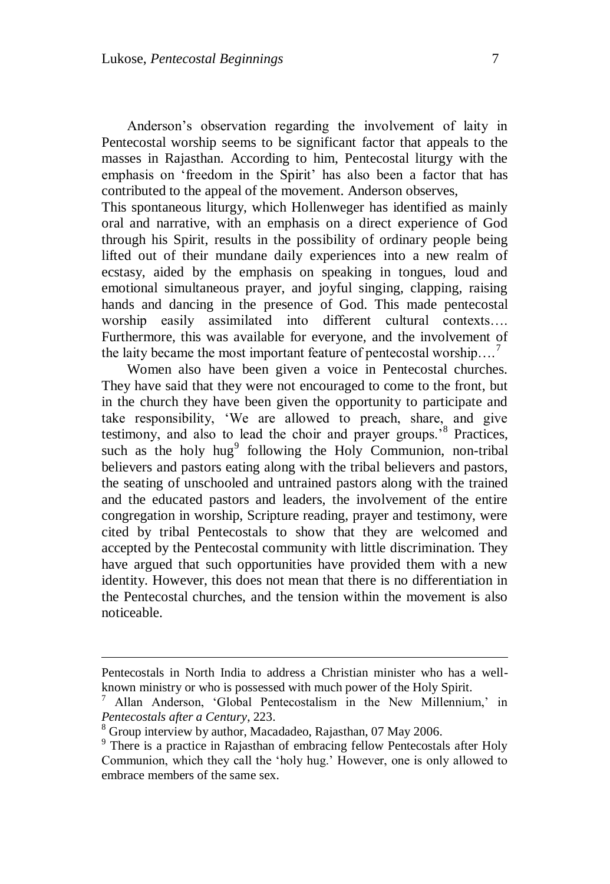Anderson"s observation regarding the involvement of laity in Pentecostal worship seems to be significant factor that appeals to the masses in Rajasthan. According to him, Pentecostal liturgy with the emphasis on 'freedom in the Spirit' has also been a factor that has contributed to the appeal of the movement. Anderson observes,

This spontaneous liturgy, which Hollenweger has identified as mainly oral and narrative, with an emphasis on a direct experience of God through his Spirit, results in the possibility of ordinary people being lifted out of their mundane daily experiences into a new realm of ecstasy, aided by the emphasis on speaking in tongues, loud and emotional simultaneous prayer, and joyful singing, clapping, raising hands and dancing in the presence of God. This made pentecostal worship easily assimilated into different cultural contexts…. Furthermore, this was available for everyone, and the involvement of the laity became the most important feature of pentecostal worship....<sup>7</sup>

Women also have been given a voice in Pentecostal churches. They have said that they were not encouraged to come to the front, but in the church they have been given the opportunity to participate and take responsibility, "We are allowed to preach, share, and give testimony, and also to lead the choir and prayer groups."<sup>8</sup> Practices, such as the holy  $hug<sup>9</sup>$  following the Holy Communion, non-tribal believers and pastors eating along with the tribal believers and pastors, the seating of unschooled and untrained pastors along with the trained and the educated pastors and leaders, the involvement of the entire congregation in worship, Scripture reading, prayer and testimony, were cited by tribal Pentecostals to show that they are welcomed and accepted by the Pentecostal community with little discrimination. They have argued that such opportunities have provided them with a new identity. However, this does not mean that there is no differentiation in the Pentecostal churches, and the tension within the movement is also noticeable.

Pentecostals in North India to address a Christian minister who has a wellknown ministry or who is possessed with much power of the Holy Spirit.

Allan Anderson, 'Global Pentecostalism in the New Millennium,' in *Pentecostals after a Century*, 223.

<sup>8</sup> Group interview by author, Macadadeo, Rajasthan, 07 May 2006.

<sup>&</sup>lt;sup>9</sup> There is a practice in Rajasthan of embracing fellow Pentecostals after Holy Communion, which they call the "holy hug." However, one is only allowed to embrace members of the same sex.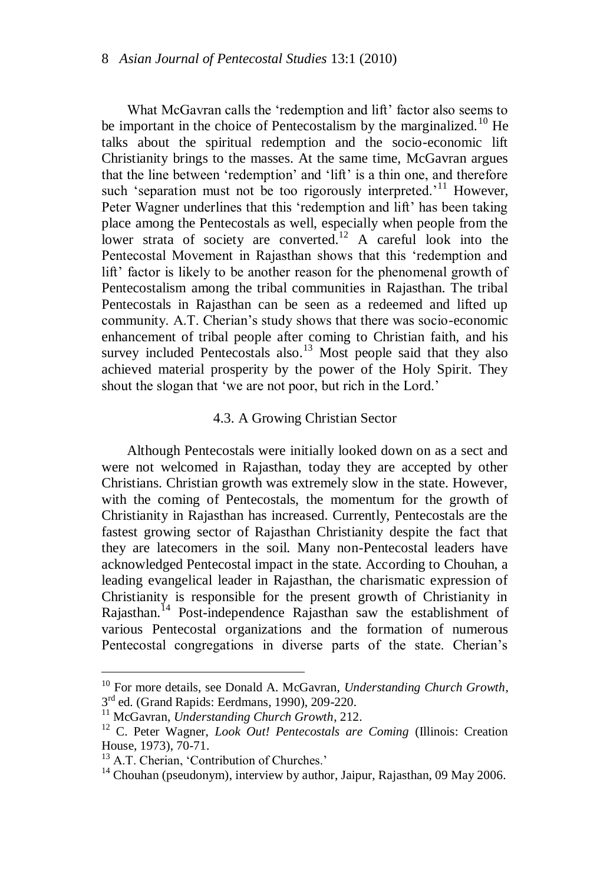What McGavran calls the 'redemption and lift' factor also seems to be important in the choice of Pentecostalism by the marginalized.<sup>10</sup> He talks about the spiritual redemption and the socio-economic lift Christianity brings to the masses. At the same time, McGavran argues that the line between "redemption" and "lift" is a thin one, and therefore such 'separation must not be too rigorously interpreted.<sup> $11$ </sup> However, Peter Wagner underlines that this 'redemption and lift' has been taking place among the Pentecostals as well, especially when people from the lower strata of society are converted.<sup>12</sup> A careful look into the Pentecostal Movement in Rajasthan shows that this "redemption and lift' factor is likely to be another reason for the phenomenal growth of Pentecostalism among the tribal communities in Rajasthan. The tribal Pentecostals in Rajasthan can be seen as a redeemed and lifted up community. A.T. Cherian's study shows that there was socio-economic enhancement of tribal people after coming to Christian faith, and his survey included Pentecostals also.<sup>13</sup> Most people said that they also achieved material prosperity by the power of the Holy Spirit. They shout the slogan that 'we are not poor, but rich in the Lord.'

## 4.3. A Growing Christian Sector

Although Pentecostals were initially looked down on as a sect and were not welcomed in Rajasthan, today they are accepted by other Christians. Christian growth was extremely slow in the state. However, with the coming of Pentecostals, the momentum for the growth of Christianity in Rajasthan has increased. Currently, Pentecostals are the fastest growing sector of Rajasthan Christianity despite the fact that they are latecomers in the soil. Many non-Pentecostal leaders have acknowledged Pentecostal impact in the state. According to Chouhan, a leading evangelical leader in Rajasthan, the charismatic expression of Christianity is responsible for the present growth of Christianity in Rajasthan.<sup>14</sup> Post-independence Rajasthan saw the establishment of various Pentecostal organizations and the formation of numerous Pentecostal congregations in diverse parts of the state. Cherian"s

<sup>10</sup> For more details, see Donald A. McGavran, *Understanding Church Growth*, 3<sup>rd</sup> ed. (Grand Rapids: Eerdmans, 1990), 209-220.

<sup>11</sup> McGavran, *Understanding Church Growth*, 212.

<sup>&</sup>lt;sup>12</sup> C. Peter Wagner, *Look Out! Pentecostals are Coming* (Illinois: Creation House, 1973), 70-71.

<sup>&</sup>lt;sup>13</sup> A.T. Cherian, 'Contribution of Churches.'

 $14$  Chouhan (pseudonym), interview by author, Jaipur, Rajasthan, 09 May 2006.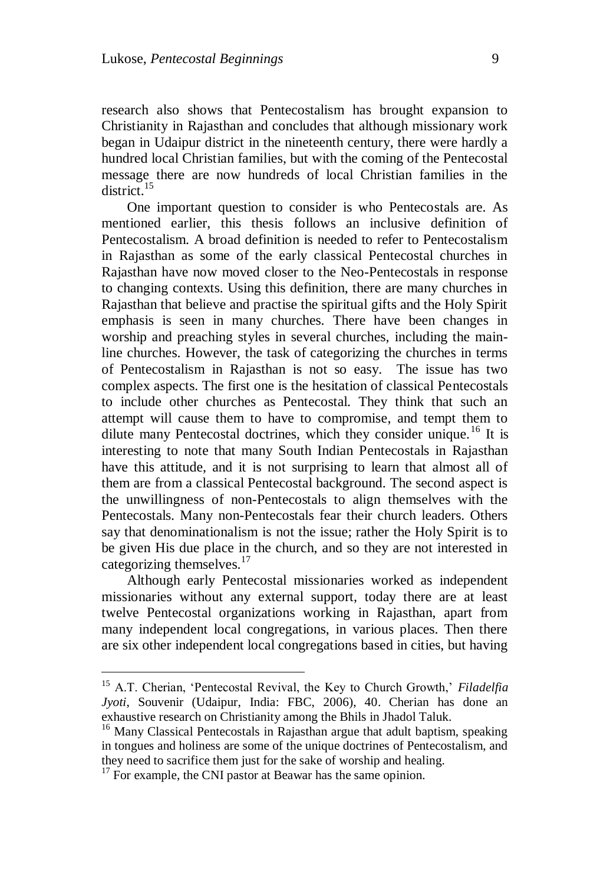research also shows that Pentecostalism has brought expansion to Christianity in Rajasthan and concludes that although missionary work began in Udaipur district in the nineteenth century, there were hardly a hundred local Christian families, but with the coming of the Pentecostal message there are now hundreds of local Christian families in the district.<sup>15</sup>

One important question to consider is who Pentecostals are. As mentioned earlier, this thesis follows an inclusive definition of Pentecostalism. A broad definition is needed to refer to Pentecostalism in Rajasthan as some of the early classical Pentecostal churches in Rajasthan have now moved closer to the Neo-Pentecostals in response to changing contexts. Using this definition, there are many churches in Rajasthan that believe and practise the spiritual gifts and the Holy Spirit emphasis is seen in many churches. There have been changes in worship and preaching styles in several churches, including the mainline churches. However, the task of categorizing the churches in terms of Pentecostalism in Rajasthan is not so easy. The issue has two complex aspects. The first one is the hesitation of classical Pentecostals to include other churches as Pentecostal. They think that such an attempt will cause them to have to compromise, and tempt them to dilute many Pentecostal doctrines, which they consider unique.<sup>16</sup> It is interesting to note that many South Indian Pentecostals in Rajasthan have this attitude, and it is not surprising to learn that almost all of them are from a classical Pentecostal background. The second aspect is the unwillingness of non-Pentecostals to align themselves with the Pentecostals. Many non-Pentecostals fear their church leaders. Others say that denominationalism is not the issue; rather the Holy Spirit is to be given His due place in the church, and so they are not interested in categorizing themselves.<sup>17</sup>

Although early Pentecostal missionaries worked as independent missionaries without any external support, today there are at least twelve Pentecostal organizations working in Rajasthan, apart from many independent local congregations, in various places. Then there are six other independent local congregations based in cities, but having

<sup>15</sup> A.T. Cherian, "Pentecostal Revival, the Key to Church Growth," *Filadelfia Jyoti*, Souvenir (Udaipur, India: FBC, 2006), 40. Cherian has done an exhaustive research on Christianity among the Bhils in Jhadol Taluk.

<sup>&</sup>lt;sup>16</sup> Many Classical Pentecostals in Rajasthan argue that adult baptism, speaking in tongues and holiness are some of the unique doctrines of Pentecostalism, and they need to sacrifice them just for the sake of worship and healing.

 $17$  For example, the CNI pastor at Beawar has the same opinion.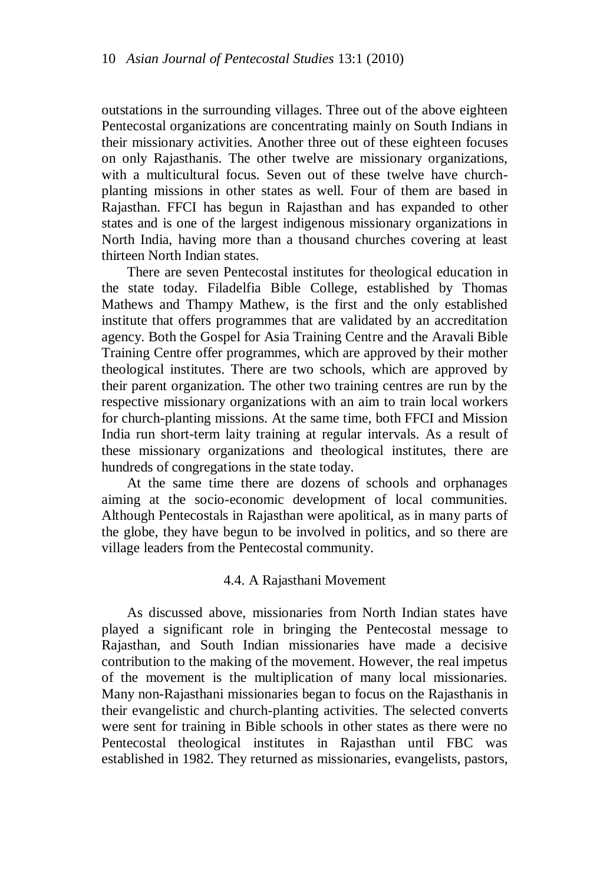outstations in the surrounding villages. Three out of the above eighteen Pentecostal organizations are concentrating mainly on South Indians in their missionary activities. Another three out of these eighteen focuses on only Rajasthanis. The other twelve are missionary organizations, with a multicultural focus. Seven out of these twelve have churchplanting missions in other states as well. Four of them are based in Rajasthan. FFCI has begun in Rajasthan and has expanded to other states and is one of the largest indigenous missionary organizations in North India, having more than a thousand churches covering at least thirteen North Indian states.

There are seven Pentecostal institutes for theological education in the state today. Filadelfia Bible College, established by Thomas Mathews and Thampy Mathew, is the first and the only established institute that offers programmes that are validated by an accreditation agency. Both the Gospel for Asia Training Centre and the Aravali Bible Training Centre offer programmes, which are approved by their mother theological institutes. There are two schools, which are approved by their parent organization. The other two training centres are run by the respective missionary organizations with an aim to train local workers for church-planting missions. At the same time, both FFCI and Mission India run short-term laity training at regular intervals. As a result of these missionary organizations and theological institutes, there are hundreds of congregations in the state today.

At the same time there are dozens of schools and orphanages aiming at the socio-economic development of local communities. Although Pentecostals in Rajasthan were apolitical, as in many parts of the globe, they have begun to be involved in politics, and so there are village leaders from the Pentecostal community.

## 4.4. A Rajasthani Movement

As discussed above, missionaries from North Indian states have played a significant role in bringing the Pentecostal message to Rajasthan, and South Indian missionaries have made a decisive contribution to the making of the movement. However, the real impetus of the movement is the multiplication of many local missionaries. Many non-Rajasthani missionaries began to focus on the Rajasthanis in their evangelistic and church-planting activities. The selected converts were sent for training in Bible schools in other states as there were no Pentecostal theological institutes in Rajasthan until FBC was established in 1982. They returned as missionaries, evangelists, pastors,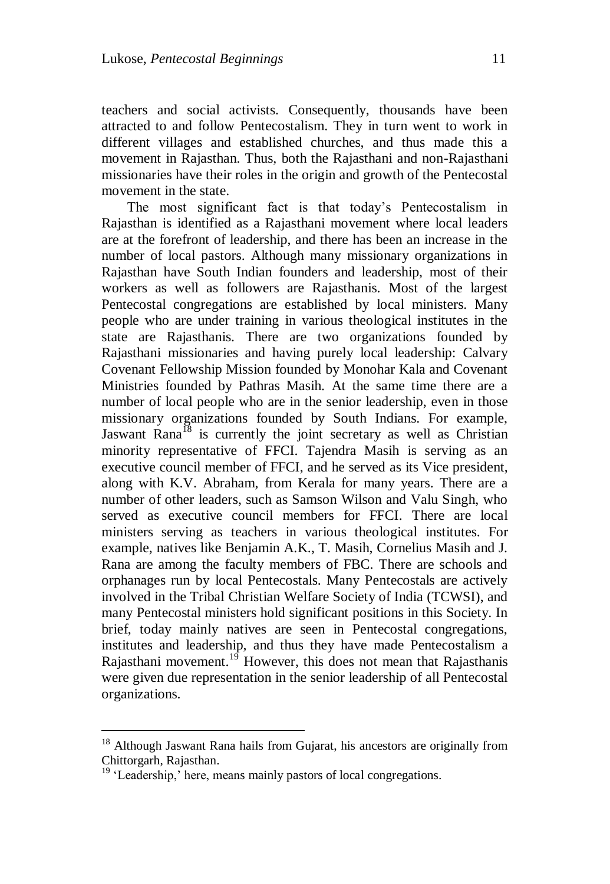teachers and social activists. Consequently, thousands have been attracted to and follow Pentecostalism. They in turn went to work in different villages and established churches, and thus made this a movement in Rajasthan. Thus, both the Rajasthani and non-Rajasthani missionaries have their roles in the origin and growth of the Pentecostal movement in the state.

The most significant fact is that today"s Pentecostalism in Rajasthan is identified as a Rajasthani movement where local leaders are at the forefront of leadership, and there has been an increase in the number of local pastors. Although many missionary organizations in Rajasthan have South Indian founders and leadership, most of their workers as well as followers are Rajasthanis. Most of the largest Pentecostal congregations are established by local ministers. Many people who are under training in various theological institutes in the state are Rajasthanis. There are two organizations founded by Rajasthani missionaries and having purely local leadership: Calvary Covenant Fellowship Mission founded by Monohar Kala and Covenant Ministries founded by Pathras Masih. At the same time there are a number of local people who are in the senior leadership, even in those missionary organizations founded by South Indians. For example, Jaswant Rana<sup>18</sup> is currently the joint secretary as well as Christian minority representative of FFCI. Tajendra Masih is serving as an executive council member of FFCI, and he served as its Vice president, along with K.V. Abraham, from Kerala for many years. There are a number of other leaders, such as Samson Wilson and Valu Singh, who served as executive council members for FFCI. There are local ministers serving as teachers in various theological institutes. For example, natives like Benjamin A.K., T. Masih, Cornelius Masih and J. Rana are among the faculty members of FBC. There are schools and orphanages run by local Pentecostals. Many Pentecostals are actively involved in the Tribal Christian Welfare Society of India (TCWSI), and many Pentecostal ministers hold significant positions in this Society. In brief, today mainly natives are seen in Pentecostal congregations, institutes and leadership, and thus they have made Pentecostalism a Rajasthani movement.<sup>19</sup> However, this does not mean that Rajasthanis were given due representation in the senior leadership of all Pentecostal organizations.

<sup>&</sup>lt;sup>18</sup> Although Jaswant Rana hails from Gujarat, his ancestors are originally from Chittorgarh, Rajasthan.

<sup>&</sup>lt;sup>19</sup> 'Leadership,' here, means mainly pastors of local congregations.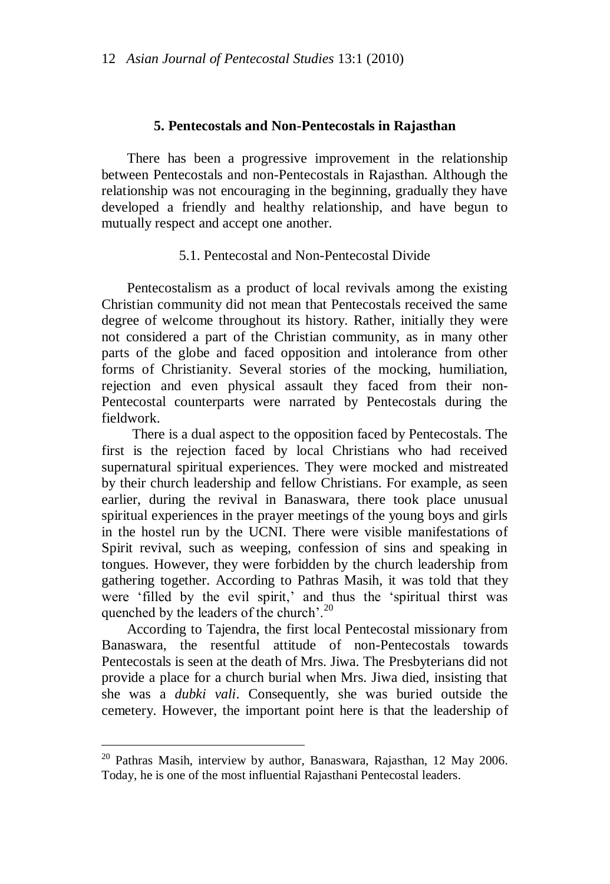## **5. Pentecostals and Non-Pentecostals in Rajasthan**

There has been a progressive improvement in the relationship between Pentecostals and non-Pentecostals in Rajasthan. Although the relationship was not encouraging in the beginning, gradually they have developed a friendly and healthy relationship, and have begun to mutually respect and accept one another.

## 5.1. Pentecostal and Non-Pentecostal Divide

Pentecostalism as a product of local revivals among the existing Christian community did not mean that Pentecostals received the same degree of welcome throughout its history. Rather, initially they were not considered a part of the Christian community, as in many other parts of the globe and faced opposition and intolerance from other forms of Christianity. Several stories of the mocking, humiliation, rejection and even physical assault they faced from their non-Pentecostal counterparts were narrated by Pentecostals during the fieldwork.

There is a dual aspect to the opposition faced by Pentecostals. The first is the rejection faced by local Christians who had received supernatural spiritual experiences. They were mocked and mistreated by their church leadership and fellow Christians. For example, as seen earlier, during the revival in Banaswara, there took place unusual spiritual experiences in the prayer meetings of the young boys and girls in the hostel run by the UCNI. There were visible manifestations of Spirit revival, such as weeping, confession of sins and speaking in tongues. However, they were forbidden by the church leadership from gathering together. According to Pathras Masih, it was told that they were 'filled by the evil spirit,' and thus the 'spiritual thirst was quenched by the leaders of the church'.<sup>20</sup>

According to Tajendra, the first local Pentecostal missionary from Banaswara, the resentful attitude of non-Pentecostals towards Pentecostals is seen at the death of Mrs. Jiwa. The Presbyterians did not provide a place for a church burial when Mrs. Jiwa died, insisting that she was a *dubki vali*. Consequently, she was buried outside the cemetery. However, the important point here is that the leadership of

 $20$  Pathras Masih, interview by author, Banaswara, Rajasthan, 12 May 2006. Today, he is one of the most influential Rajasthani Pentecostal leaders.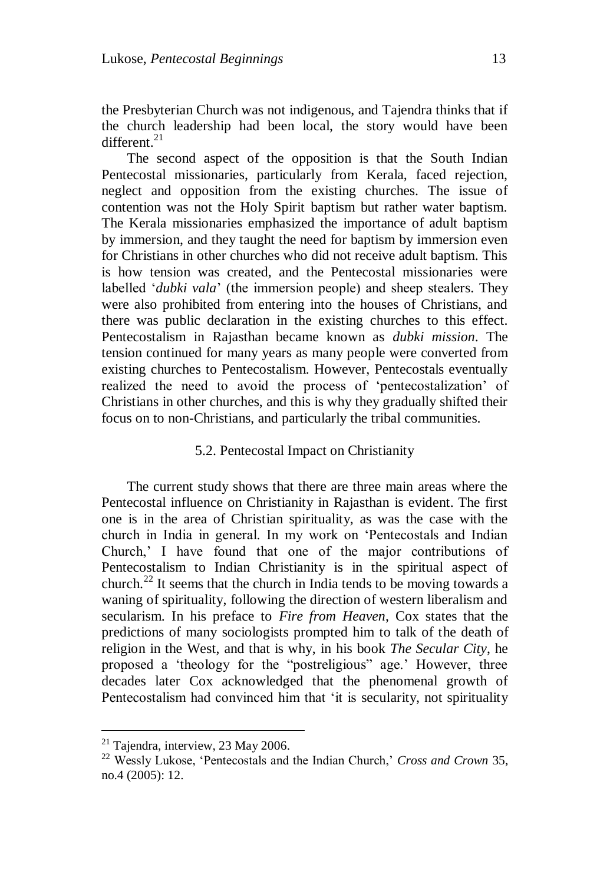the Presbyterian Church was not indigenous, and Tajendra thinks that if the church leadership had been local, the story would have been different.<sup>21</sup>

The second aspect of the opposition is that the South Indian Pentecostal missionaries, particularly from Kerala, faced rejection, neglect and opposition from the existing churches. The issue of contention was not the Holy Spirit baptism but rather water baptism. The Kerala missionaries emphasized the importance of adult baptism by immersion, and they taught the need for baptism by immersion even for Christians in other churches who did not receive adult baptism. This is how tension was created, and the Pentecostal missionaries were labelled "*dubki vala*" (the immersion people) and sheep stealers. They were also prohibited from entering into the houses of Christians, and there was public declaration in the existing churches to this effect. Pentecostalism in Rajasthan became known as *dubki mission*. The tension continued for many years as many people were converted from existing churches to Pentecostalism. However, Pentecostals eventually realized the need to avoid the process of "pentecostalization" of Christians in other churches, and this is why they gradually shifted their focus on to non-Christians, and particularly the tribal communities.

# 5.2. Pentecostal Impact on Christianity

The current study shows that there are three main areas where the Pentecostal influence on Christianity in Rajasthan is evident. The first one is in the area of Christian spirituality, as was the case with the church in India in general. In my work on "Pentecostals and Indian Church," I have found that one of the major contributions of Pentecostalism to Indian Christianity is in the spiritual aspect of church.<sup>22</sup> It seems that the church in India tends to be moving towards a waning of spirituality, following the direction of western liberalism and secularism. In his preface to *Fire from Heaven*, Cox states that the predictions of many sociologists prompted him to talk of the death of religion in the West, and that is why, in his book *The Secular City*, he proposed a "theology for the "postreligious" age." However, three decades later Cox acknowledged that the phenomenal growth of Pentecostalism had convinced him that "it is secularity, not spirituality

 $21$  Tajendra, interview, 23 May 2006.

<sup>&</sup>lt;sup>22</sup> Wessly Lukose, 'Pentecostals and the Indian Church,' *Cross and Crown* 35, no.4 (2005): 12.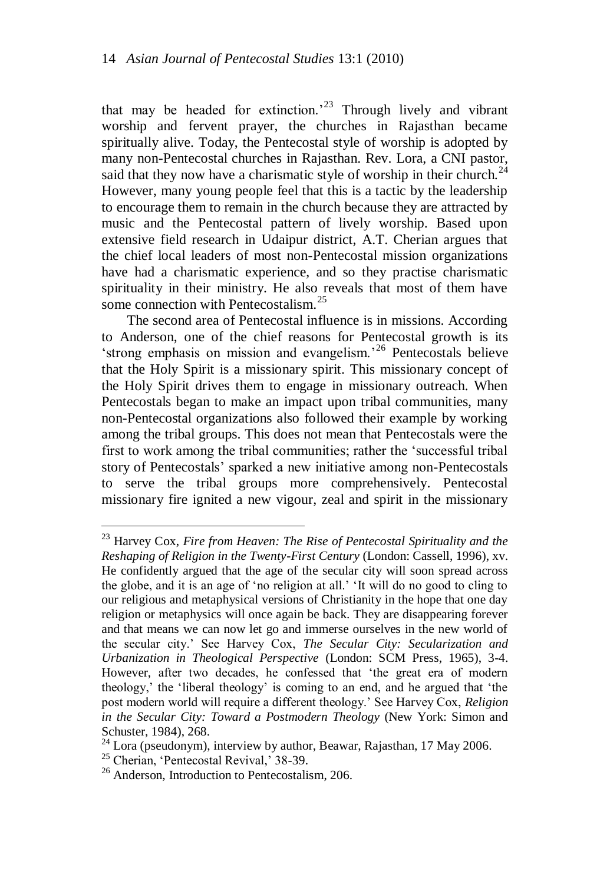that may be headed for extinction.<sup>23</sup> Through lively and vibrant worship and fervent prayer, the churches in Rajasthan became spiritually alive. Today, the Pentecostal style of worship is adopted by many non-Pentecostal churches in Rajasthan. Rev. Lora, a CNI pastor, said that they now have a charismatic style of worship in their church.<sup>24</sup> However, many young people feel that this is a tactic by the leadership to encourage them to remain in the church because they are attracted by music and the Pentecostal pattern of lively worship. Based upon extensive field research in Udaipur district, A.T. Cherian argues that the chief local leaders of most non-Pentecostal mission organizations have had a charismatic experience, and so they practise charismatic spirituality in their ministry. He also reveals that most of them have some connection with Pentecostalism.<sup>25</sup>

The second area of Pentecostal influence is in missions. According to Anderson, one of the chief reasons for Pentecostal growth is its  $\pi$  strong emphasis on mission and evangelism.<sup>26</sup> Pentecostals believe that the Holy Spirit is a missionary spirit. This missionary concept of the Holy Spirit drives them to engage in missionary outreach. When Pentecostals began to make an impact upon tribal communities, many non-Pentecostal organizations also followed their example by working among the tribal groups. This does not mean that Pentecostals were the first to work among the tribal communities; rather the "successful tribal story of Pentecostals" sparked a new initiative among non-Pentecostals to serve the tribal groups more comprehensively. Pentecostal missionary fire ignited a new vigour, zeal and spirit in the missionary

<sup>23</sup> Harvey Cox, *Fire from Heaven: The Rise of Pentecostal Spirituality and the Reshaping of Religion in the Twenty-First Century* (London: Cassell, 1996), xv. He confidently argued that the age of the secular city will soon spread across the globe, and it is an age of "no religion at all." "It will do no good to cling to our religious and metaphysical versions of Christianity in the hope that one day religion or metaphysics will once again be back. They are disappearing forever and that means we can now let go and immerse ourselves in the new world of the secular city." See Harvey Cox, *The Secular City: Secularization and Urbanization in Theological Perspective* (London: SCM Press, 1965), 3-4. However, after two decades, he confessed that "the great era of modern theology," the "liberal theology" is coming to an end, and he argued that "the post modern world will require a different theology." See Harvey Cox, *Religion in the Secular City: Toward a Postmodern Theology* (New York: Simon and Schuster, 1984), 268.

 $^{24}$  Lora (pseudonym), interview by author, Beawar, Rajasthan, 17 May 2006.

<sup>&</sup>lt;sup>25</sup> Cherian, 'Pentecostal Revival,' 38-39.

<sup>&</sup>lt;sup>26</sup> Anderson, Introduction to Pentecostalism, 206.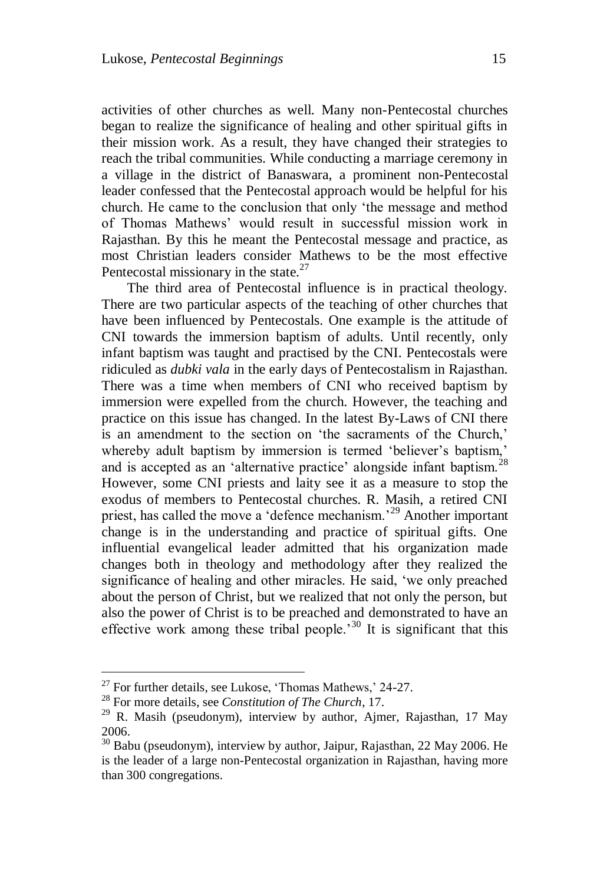activities of other churches as well. Many non-Pentecostal churches began to realize the significance of healing and other spiritual gifts in their mission work. As a result, they have changed their strategies to reach the tribal communities. While conducting a marriage ceremony in a village in the district of Banaswara, a prominent non-Pentecostal leader confessed that the Pentecostal approach would be helpful for his church. He came to the conclusion that only "the message and method of Thomas Mathews" would result in successful mission work in Rajasthan. By this he meant the Pentecostal message and practice, as most Christian leaders consider Mathews to be the most effective Pentecostal missionary in the state. $27$ 

The third area of Pentecostal influence is in practical theology. There are two particular aspects of the teaching of other churches that have been influenced by Pentecostals. One example is the attitude of CNI towards the immersion baptism of adults. Until recently, only infant baptism was taught and practised by the CNI. Pentecostals were ridiculed as *dubki vala* in the early days of Pentecostalism in Rajasthan. There was a time when members of CNI who received baptism by immersion were expelled from the church. However, the teaching and practice on this issue has changed. In the latest By-Laws of CNI there is an amendment to the section on 'the sacraments of the Church,' whereby adult baptism by immersion is termed 'believer's baptism,' and is accepted as an 'alternative practice' alongside infant baptism.<sup>28</sup> However, some CNI priests and laity see it as a measure to stop the exodus of members to Pentecostal churches. R. Masih, a retired CNI priest, has called the move a 'defence mechanism.<sup>29</sup> Another important change is in the understanding and practice of spiritual gifts. One influential evangelical leader admitted that his organization made changes both in theology and methodology after they realized the significance of healing and other miracles. He said, "we only preached about the person of Christ, but we realized that not only the person, but also the power of Christ is to be preached and demonstrated to have an effective work among these tribal people.<sup>30</sup> It is significant that this

 $^{27}$  For further details, see Lukose, 'Thomas Mathews,' 24-27.

<sup>28</sup> For more details, see *Constitution of The Church*, 17.

<sup>&</sup>lt;sup>29</sup> R. Masih (pseudonym), interview by author, Ajmer, Rajasthan, 17 May 2006.

<sup>&</sup>lt;sup>30</sup> Babu (pseudonym), interview by author, Jaipur, Rajasthan, 22 May 2006. He is the leader of a large non-Pentecostal organization in Rajasthan, having more than 300 congregations.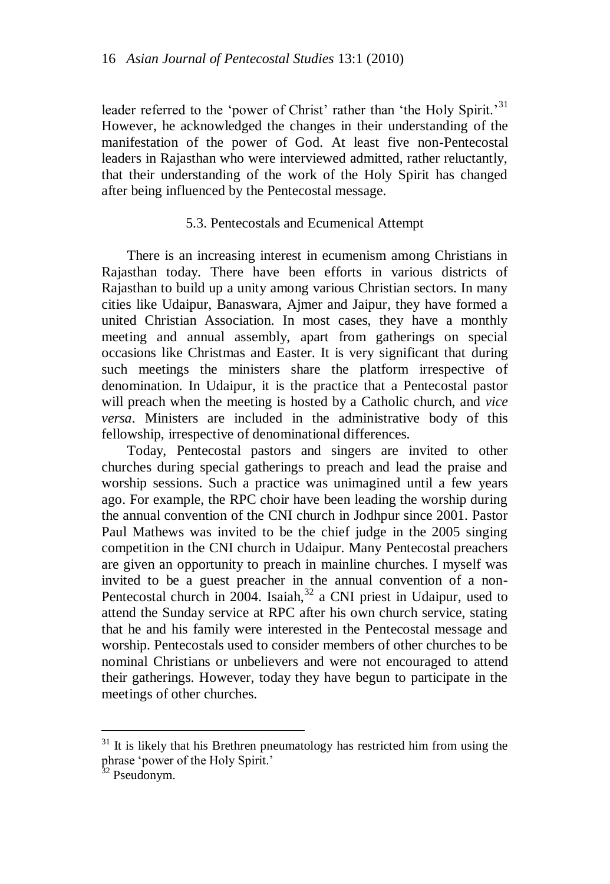leader referred to the 'power of Christ' rather than 'the Holy Spirit.<sup>31</sup> However, he acknowledged the changes in their understanding of the manifestation of the power of God. At least five non-Pentecostal leaders in Rajasthan who were interviewed admitted, rather reluctantly, that their understanding of the work of the Holy Spirit has changed after being influenced by the Pentecostal message.

# 5.3. Pentecostals and Ecumenical Attempt

There is an increasing interest in ecumenism among Christians in Rajasthan today. There have been efforts in various districts of Rajasthan to build up a unity among various Christian sectors. In many cities like Udaipur, Banaswara, Ajmer and Jaipur, they have formed a united Christian Association. In most cases, they have a monthly meeting and annual assembly, apart from gatherings on special occasions like Christmas and Easter. It is very significant that during such meetings the ministers share the platform irrespective of denomination. In Udaipur, it is the practice that a Pentecostal pastor will preach when the meeting is hosted by a Catholic church, and *vice versa*. Ministers are included in the administrative body of this fellowship, irrespective of denominational differences.

Today, Pentecostal pastors and singers are invited to other churches during special gatherings to preach and lead the praise and worship sessions. Such a practice was unimagined until a few years ago. For example, the RPC choir have been leading the worship during the annual convention of the CNI church in Jodhpur since 2001. Pastor Paul Mathews was invited to be the chief judge in the 2005 singing competition in the CNI church in Udaipur. Many Pentecostal preachers are given an opportunity to preach in mainline churches. I myself was invited to be a guest preacher in the annual convention of a non-Pentecostal church in  $2004$ . Isaiah,  $32$  a CNI priest in Udaipur, used to attend the Sunday service at RPC after his own church service, stating that he and his family were interested in the Pentecostal message and worship. Pentecostals used to consider members of other churches to be nominal Christians or unbelievers and were not encouraged to attend their gatherings. However, today they have begun to participate in the meetings of other churches.

 $31$  It is likely that his Brethren pneumatology has restricted him from using the phrase 'power of the Holy Spirit.'

<sup>&</sup>lt;sup>32</sup> Pseudonym.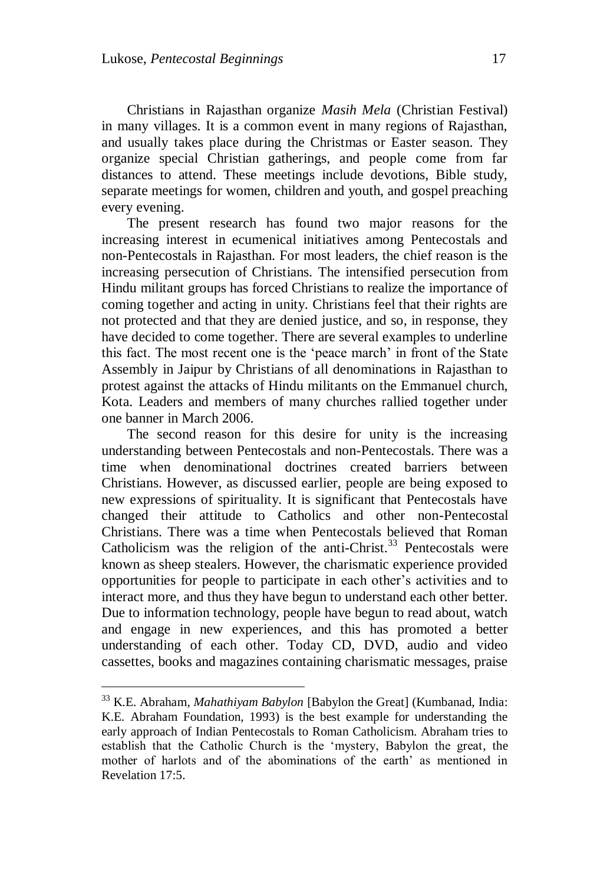Christians in Rajasthan organize *Masih Mela* (Christian Festival) in many villages. It is a common event in many regions of Rajasthan, and usually takes place during the Christmas or Easter season. They organize special Christian gatherings, and people come from far distances to attend. These meetings include devotions, Bible study, separate meetings for women, children and youth, and gospel preaching every evening.

The present research has found two major reasons for the increasing interest in ecumenical initiatives among Pentecostals and non-Pentecostals in Rajasthan. For most leaders, the chief reason is the increasing persecution of Christians. The intensified persecution from Hindu militant groups has forced Christians to realize the importance of coming together and acting in unity. Christians feel that their rights are not protected and that they are denied justice, and so, in response, they have decided to come together. There are several examples to underline this fact. The most recent one is the "peace march" in front of the State Assembly in Jaipur by Christians of all denominations in Rajasthan to protest against the attacks of Hindu militants on the Emmanuel church, Kota. Leaders and members of many churches rallied together under one banner in March 2006.

The second reason for this desire for unity is the increasing understanding between Pentecostals and non-Pentecostals. There was a time when denominational doctrines created barriers between Christians. However, as discussed earlier, people are being exposed to new expressions of spirituality. It is significant that Pentecostals have changed their attitude to Catholics and other non-Pentecostal Christians. There was a time when Pentecostals believed that Roman Catholicism was the religion of the anti-Christ. $33$  Pentecostals were known as sheep stealers. However, the charismatic experience provided opportunities for people to participate in each other"s activities and to interact more, and thus they have begun to understand each other better. Due to information technology, people have begun to read about, watch and engage in new experiences, and this has promoted a better understanding of each other. Today CD, DVD, audio and video cassettes, books and magazines containing charismatic messages, praise

<sup>33</sup> K.E. Abraham, *Mahathiyam Babylon* [Babylon the Great] (Kumbanad, India: K.E. Abraham Foundation, 1993) is the best example for understanding the early approach of Indian Pentecostals to Roman Catholicism. Abraham tries to establish that the Catholic Church is the "mystery, Babylon the great, the mother of harlots and of the abominations of the earth' as mentioned in Revelation 17:5.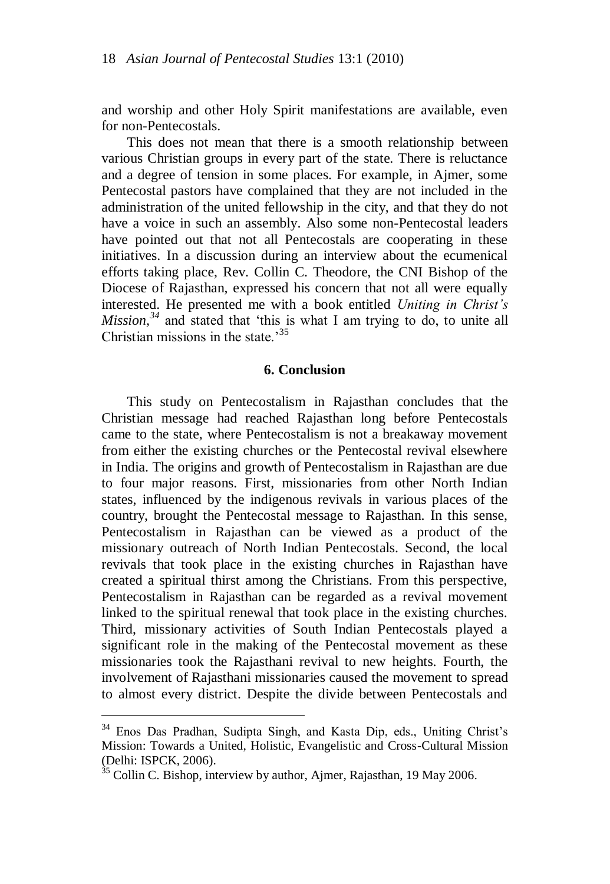and worship and other Holy Spirit manifestations are available, even for non-Pentecostals.

This does not mean that there is a smooth relationship between various Christian groups in every part of the state. There is reluctance and a degree of tension in some places. For example, in Ajmer, some Pentecostal pastors have complained that they are not included in the administration of the united fellowship in the city, and that they do not have a voice in such an assembly. Also some non-Pentecostal leaders have pointed out that not all Pentecostals are cooperating in these initiatives. In a discussion during an interview about the ecumenical efforts taking place, Rev. Collin C. Theodore, the CNI Bishop of the Diocese of Rajasthan, expressed his concern that not all were equally interested. He presented me with a book entitled *Uniting in Christ's Mission*,<sup>34</sup> and stated that 'this is what I am trying to do, to unite all Christian missions in the state  $^{35}$ 

## **6. Conclusion**

This study on Pentecostalism in Rajasthan concludes that the Christian message had reached Rajasthan long before Pentecostals came to the state, where Pentecostalism is not a breakaway movement from either the existing churches or the Pentecostal revival elsewhere in India. The origins and growth of Pentecostalism in Rajasthan are due to four major reasons. First, missionaries from other North Indian states, influenced by the indigenous revivals in various places of the country, brought the Pentecostal message to Rajasthan. In this sense, Pentecostalism in Rajasthan can be viewed as a product of the missionary outreach of North Indian Pentecostals. Second, the local revivals that took place in the existing churches in Rajasthan have created a spiritual thirst among the Christians. From this perspective, Pentecostalism in Rajasthan can be regarded as a revival movement linked to the spiritual renewal that took place in the existing churches. Third, missionary activities of South Indian Pentecostals played a significant role in the making of the Pentecostal movement as these missionaries took the Rajasthani revival to new heights. Fourth, the involvement of Rajasthani missionaries caused the movement to spread to almost every district. Despite the divide between Pentecostals and

<sup>&</sup>lt;sup>34</sup> Enos Das Pradhan, Sudipta Singh, and Kasta Dip, eds., Uniting Christ's Mission: Towards a United, Holistic, Evangelistic and Cross-Cultural Mission (Delhi: ISPCK, 2006).

 $35$  Collin C. Bishop, interview by author, Ajmer, Rajasthan, 19 May 2006.